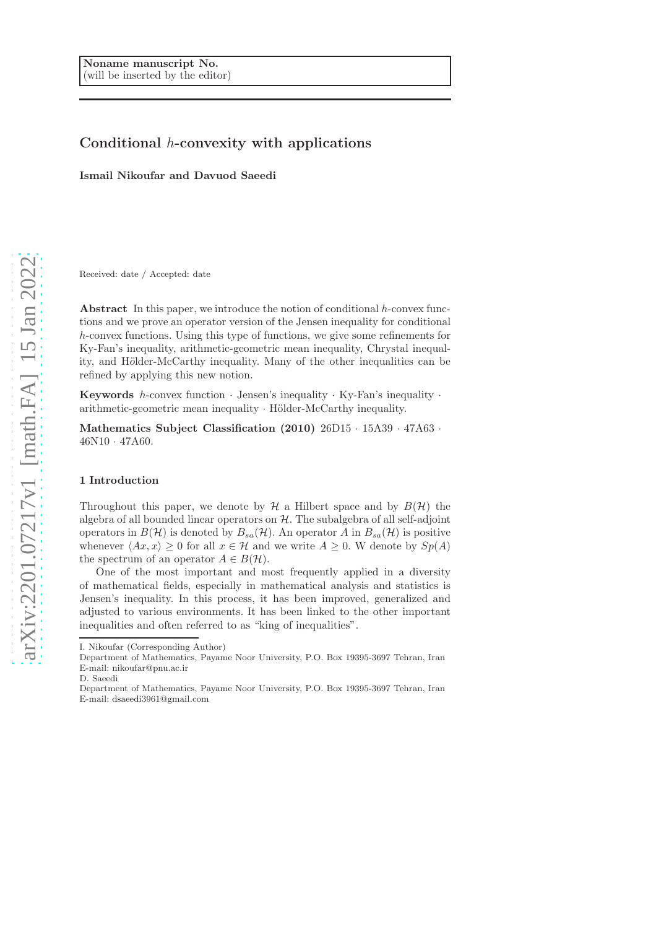# Conditional h-convexity with applications

Ismail Nikoufar and Davuod Saeedi

Received: date / Accepted: date

Abstract In this paper, we introduce the notion of conditional  $h$ -convex functions and we prove an operator version of the Jensen inequality for conditional h-convex functions. Using this type of functions, we give some refinements for Ky-Fan's inequality, arithmetic-geometric mean inequality, Chrystal inequality, and Hölder-McCarthy inequality. Many of the other inequalities can be refined by applying this new notion.

**Keywords** h-convex function  $\cdot$  Jensen's inequality  $\cdot$  Ky-Fan's inequality  $\cdot$ arithmetic-geometric mean inequality  $\cdot$  Hölder-McCarthy inequality.

Mathematics Subject Classification (2010) 26D15 · 15A39 · 47A63 · 46N10 · 47A60.

#### 1 Introduction

Throughout this paper, we denote by  $\mathcal H$  a Hilbert space and by  $B(\mathcal H)$  the algebra of all bounded linear operators on  $H$ . The subalgebra of all self-adjoint operators in  $B(\mathcal{H})$  is denoted by  $B_{sa}(\mathcal{H})$ . An operator A in  $B_{sa}(\mathcal{H})$  is positive whenever  $\langle Ax, x \rangle \ge 0$  for all  $x \in \mathcal{H}$  and we write  $A \ge 0$ . W denote by  $Sp(A)$ the spectrum of an operator  $A \in B(H)$ .

One of the most important and most frequently applied in a diversity of mathematical fields, especially in mathematical analysis and statistics is Jensen's inequality. In this process, it has been improved, generalized and adjusted to various environments. It has been linked to the other important inequalities and often referred to as "king of inequalities".

I. Nikoufar (Corresponding Author)

Department of Mathematics, Payame Noor University, P.O. Box 19395-3697 Tehran, Iran E-mail: nikoufar@pnu.ac.ir

D. Saeedi

Department of Mathematics, Payame Noor University, P.O. Box 19395-3697 Tehran, Iran E-mail: dsaeedi3961@gmail.com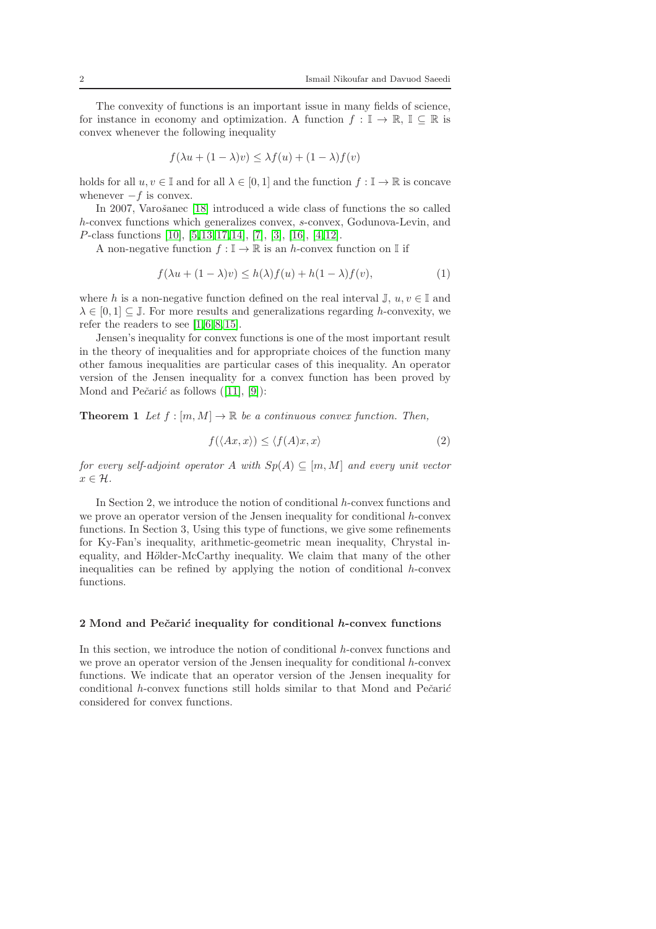The convexity of functions is an important issue in many fields of science, for instance in economy and optimization. A function  $f : \mathbb{I} \to \mathbb{R}, \mathbb{I} \subseteq \mathbb{R}$  is convex whenever the following inequality

$$
f(\lambda u + (1 - \lambda)v) \leq \lambda f(u) + (1 - \lambda)f(v)
$$

holds for all  $u, v \in \mathbb{I}$  and for all  $\lambda \in [0, 1]$  and the function  $f : \mathbb{I} \to \mathbb{R}$  is concave whenever  $-f$  is convex.

In 2007, Varošanec [\[18\]](#page-11-0) introduced a wide class of functions the so called h-convex functions which generalizes convex, s-convex, Godunova-Levin, and P-class functions [\[10\]](#page-11-1), [\[5,](#page-11-2)[13,](#page-11-3)[17,](#page-11-4)[14\]](#page-11-5), [\[7\]](#page-11-6), [\[3\]](#page-11-7), [\[16\]](#page-11-8), [\[4,](#page-11-9)[12\]](#page-11-10).

A non-negative function  $f : \mathbb{I} \to \mathbb{R}$  is an h-convex function on  $\mathbb{I}$  if

$$
f(\lambda u + (1 - \lambda)v) \le h(\lambda)f(u) + h(1 - \lambda)f(v),
$$
\n(1)

where h is a non-negative function defined on the real interval  $\mathbb{J}, u, v \in \mathbb{I}$  and  $\lambda \in [0, 1] \subseteq \mathbb{J}$ . For more results and generalizations regarding h-convexity, we refer the readers to see  $[1,6,8,15]$  $[1,6,8,15]$  $[1,6,8,15]$  $[1,6,8,15]$ .

Jensen's inequality for convex functions is one of the most important result in the theory of inequalities and for appropriate choices of the function many other famous inequalities are particular cases of this inequality. An operator version of the Jensen inequality for a convex function has been proved by Mond and Pečarić as follows  $([11], [9])$  $([11], [9])$  $([11], [9])$  $([11], [9])$  $([11], [9])$ :

**Theorem 1** Let  $f : [m, M] \to \mathbb{R}$  be a continuous convex function. Then,

$$
f(\langle Ax, x \rangle) \le \langle f(A)x, x \rangle \tag{2}
$$

for every self-adjoint operator A with  $Sp(A) \subseteq [m, M]$  and every unit vector  $x \in \mathcal{H}$ .

In Section 2, we introduce the notion of conditional h-convex functions and we prove an operator version of the Jensen inequality for conditional h-convex functions. In Section 3, Using this type of functions, we give some refinements for Ky-Fan's inequality, arithmetic-geometric mean inequality, Chrystal inequality, and Hölder-McCarthy inequality. We claim that many of the other inequalities can be refined by applying the notion of conditional  $h$ -convex functions.

### $2$  Mond and Pečarić inequality for conditional  $h$ -convex functions

In this section, we introduce the notion of conditional h-convex functions and we prove an operator version of the Jensen inequality for conditional h-convex functions. We indicate that an operator version of the Jensen inequality for conditional  $h$ -convex functions still holds similar to that Mond and Pe $\check{c}$ ari $\check{c}$ considered for convex functions.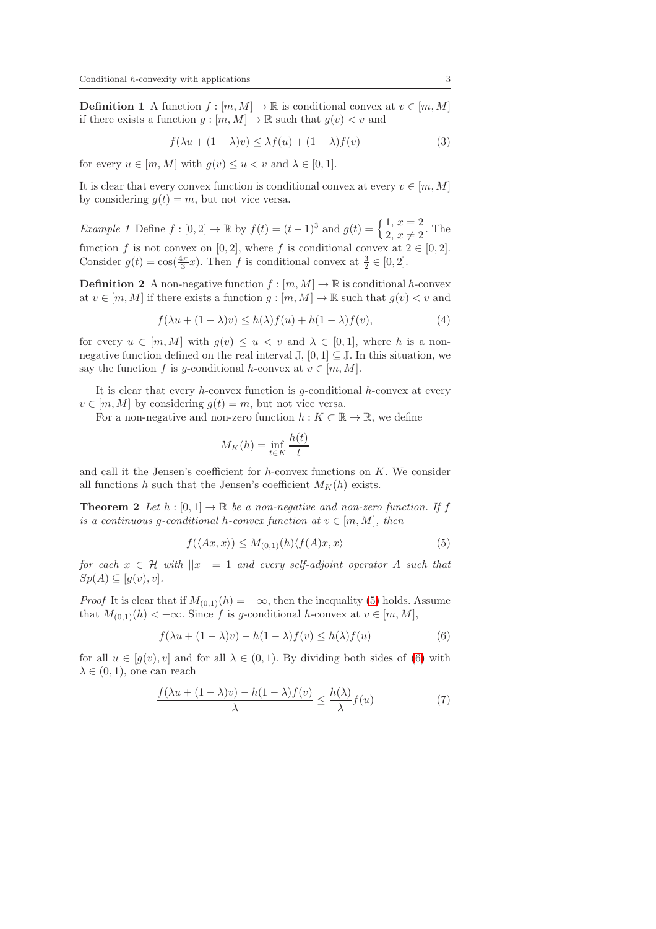**Definition 1** A function  $f : [m, M] \to \mathbb{R}$  is conditional convex at  $v \in [m, M]$ if there exists a function  $g : [m, M] \to \mathbb{R}$  such that  $g(v) < v$  and

$$
f(\lambda u + (1 - \lambda)v) \leq \lambda f(u) + (1 - \lambda)f(v)
$$
\n(3)

for every  $u \in [m, M]$  with  $q(v) \le u \le v$  and  $\lambda \in [0, 1]$ .

It is clear that every convex function is conditional convex at every  $v \in [m, M]$ by considering  $q(t) = m$ , but not vice versa.

Example 1 Define  $f : [0, 2] \to \mathbb{R}$  by  $f(t) = (t - 1)^3$  and  $g(t) = \begin{cases} 1, & x = 2 \\ 2, & x \neq 2 \end{cases}$ . The function f is not convex on [0, 2], where f is conditional convex at  $2 \in [0, 2]$ . Consider  $g(t) = \cos(\frac{4\pi}{3}x)$ . Then f is conditional convex at  $\frac{3}{2} \in [0,2]$ .

**Definition 2** A non-negative function  $f : [m, M] \to \mathbb{R}$  is conditional h-convex at  $v \in [m, M]$  if there exists a function  $g : [m, M] \to \mathbb{R}$  such that  $g(v) < v$  and

$$
f(\lambda u + (1 - \lambda)v) \le h(\lambda)f(u) + h(1 - \lambda)f(v),
$$
\n(4)

for every  $u \in [m, M]$  with  $g(v) \leq u < v$  and  $\lambda \in [0, 1]$ , where h is a nonnegative function defined on the real interval  $\mathbb{J}, [0,1] \subseteq \mathbb{J}$ . In this situation, we say the function f is g-conditional h-convex at  $v \in [m, M]$ .

It is clear that every  $h$ -convex function is  $g$ -conditional  $h$ -convex at every  $v \in [m, M]$  by considering  $g(t) = m$ , but not vice versa.

For a non-negative and non-zero function  $h: K \subset \mathbb{R} \to \mathbb{R}$ , we define

$$
M_K(h) = \inf_{t \in K} \frac{h(t)}{t}
$$

<span id="page-2-3"></span>and call it the Jensen's coefficient for  $h$ -convex functions on  $K$ . We consider all functions h such that the Jensen's coefficient  $M_K(h)$  exists.

**Theorem 2** Let  $h : [0,1] \to \mathbb{R}$  be a non-negative and non-zero function. If f is a continuous g-conditional h-convex function at  $v \in [m, M]$ , then

<span id="page-2-0"></span>
$$
f(\langle Ax, x \rangle) \le M_{(0,1)}(h) \langle f(A)x, x \rangle \tag{5}
$$

for each  $x \in \mathcal{H}$  with  $||x|| = 1$  and every self-adjoint operator A such that  $Sp(A) \subseteq [g(v), v].$ 

*Proof* It is clear that if  $M_{(0,1)}(h) = +\infty$ , then the inequality [\(5\)](#page-2-0) holds. Assume that  $M_{(0,1)}(h) < +\infty$ . Since f is g-conditional h-convex at  $v \in [m, M]$ ,

<span id="page-2-1"></span>
$$
f(\lambda u + (1 - \lambda)v) - h(1 - \lambda)f(v) \le h(\lambda)f(u)
$$
\n(6)

for all  $u \in [g(v), v]$  and for all  $\lambda \in (0, 1)$ . By dividing both sides of [\(6\)](#page-2-1) with  $\lambda \in (0, 1)$ , one can reach

<span id="page-2-2"></span>
$$
\frac{f(\lambda u + (1 - \lambda)v) - h(1 - \lambda)f(v)}{\lambda} \le \frac{h(\lambda)}{\lambda}f(u)
$$
\n(7)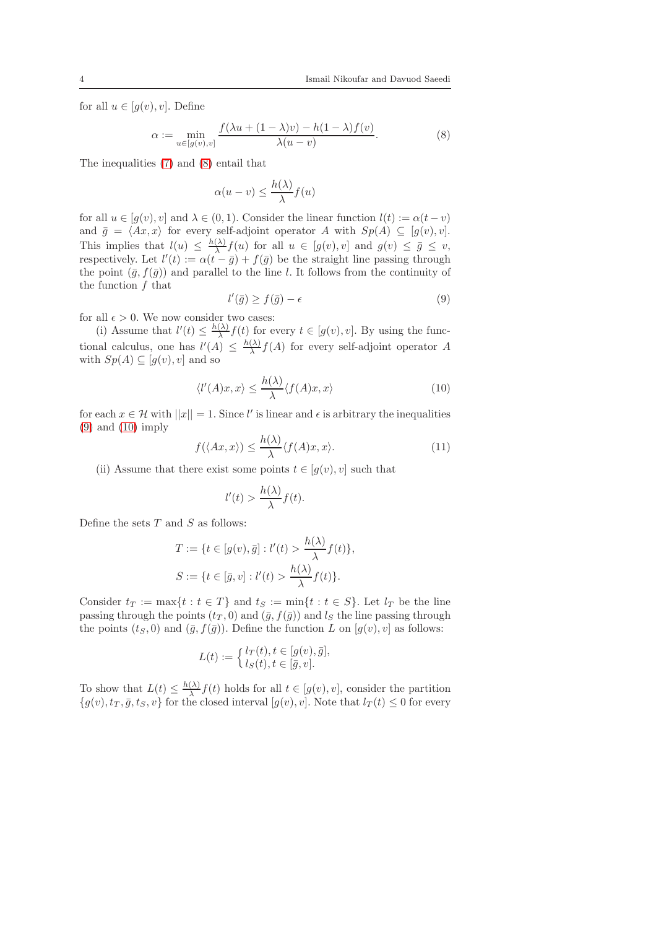for all  $u \in [g(v), v]$ . Define

<span id="page-3-0"></span>
$$
\alpha := \min_{u \in [g(v), v]} \frac{f(\lambda u + (1 - \lambda)v) - h(1 - \lambda)f(v)}{\lambda(u - v)}.
$$
\n(8)

The inequalities [\(7\)](#page-2-2) and [\(8\)](#page-3-0) entail that

$$
\alpha(u - v) \le \frac{h(\lambda)}{\lambda} f(u)
$$

for all  $u \in [g(v), v]$  and  $\lambda \in (0, 1)$ . Consider the linear function  $l(t) := \alpha(t - v)$ and  $\bar{g} = \langle Ax, x \rangle$  for every self-adjoint operator A with  $Sp(A) \subseteq [g(v), v].$ This implies that  $l(u) \leq \frac{h(\lambda)}{\lambda}$  $\frac{\Delta}{\lambda} f(u)$  for all  $u \in [g(v), v]$  and  $g(v) \leq \overline{g} \leq v$ , respectively. Let  $l'(t) := \alpha(t - \bar{g}) + f(\bar{g})$  be the straight line passing through the point  $(\bar{g}, f(\bar{g}))$  and parallel to the line l. It follows from the continuity of the function f that

<span id="page-3-1"></span>
$$
l'(\bar{g}) \ge f(\bar{g}) - \epsilon \tag{9}
$$

for all  $\epsilon > 0$ . We now consider two cases:

(i) Assume that  $l'(t) \leq \frac{h(\lambda)}{\lambda}$  $\frac{d\lambda}{\lambda} f(t)$  for every  $t \in [g(v), v]$ . By using the functional calculus, one has  $l'(A) \leq \frac{h(\lambda)}{\lambda}$  $\frac{(\lambda)}{\lambda} f(A)$  for every self-adjoint operator A with  $Sp(A) \subseteq [q(v), v]$  and so

<span id="page-3-2"></span>
$$
\langle l'(A)x, x \rangle \le \frac{h(\lambda)}{\lambda} \langle f(A)x, x \rangle \tag{10}
$$

for each  $x \in \mathcal{H}$  with  $||x|| = 1$ . Since l' is linear and  $\epsilon$  is arbitrary the inequalities [\(9\)](#page-3-1) and [\(10\)](#page-3-2) imply

<span id="page-3-3"></span>
$$
f(\langle Ax, x \rangle) \le \frac{h(\lambda)}{\lambda} \langle f(A)x, x \rangle.
$$
 (11)

(ii) Assume that there exist some points  $t \in [g(v), v]$  such that

$$
l'(t) > \frac{h(\lambda)}{\lambda}f(t).
$$

Define the sets  $T$  and  $S$  as follows:

$$
T := \{t \in [g(v), \bar{g}] : l'(t) > \frac{h(\lambda)}{\lambda} f(t)\},\
$$
  

$$
S := \{t \in [\bar{g}, v] : l'(t) > \frac{h(\lambda)}{\lambda} f(t)\}.
$$

Consider  $t_T := \max\{t : t \in T\}$  and  $t_S := \min\{t : t \in S\}$ . Let  $l_T$  be the line passing through the points  $(t_T, 0)$  and  $(\bar{g}, f(\bar{g}))$  and  $l_S$  the line passing through the points  $(t_S, 0)$  and  $(\bar{g}, f(\bar{g}))$ . Define the function L on  $[g(v), v]$  as follows:

$$
L(t) := \begin{cases} l_T(t), t \in [g(v), \bar{g}], \\ l_S(t), t \in [\bar{g}, v]. \end{cases}
$$

To show that  $L(t) \leq \frac{h(\lambda)}{\lambda}$  $\frac{dA}{dt} f(t)$  holds for all  $t \in [g(v), v]$ , consider the partition  ${g(v), t_T, \bar{g}, t_S, v}$  for the closed interval  $[g(v), v]$ . Note that  $l_T(t) \leq 0$  for every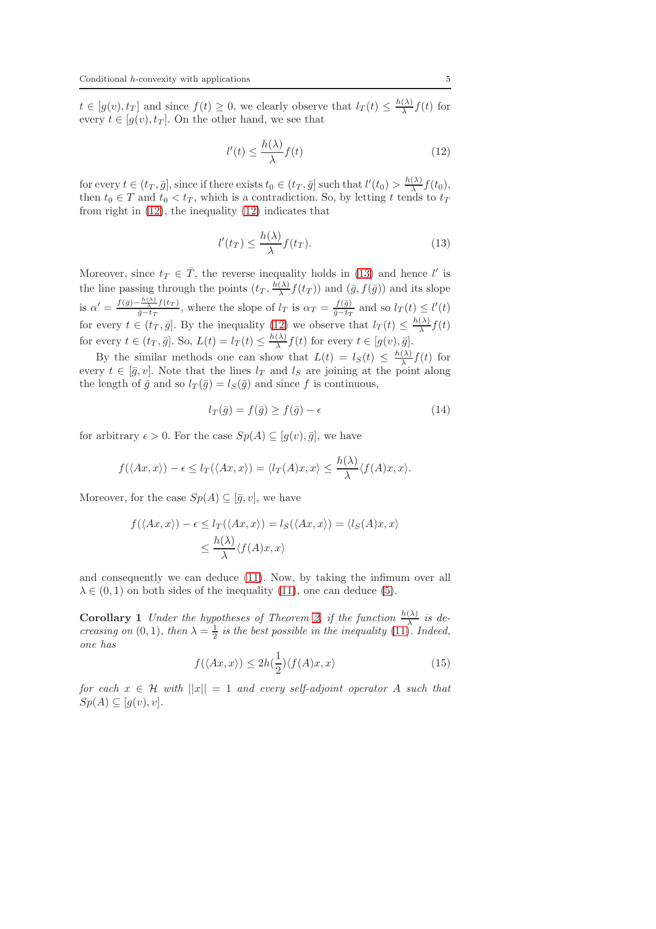$t \in [g(v), t_T]$  and since  $f(t) \geq 0$ , we clearly observe that  $l_T(t) \leq \frac{h(\lambda)}{\lambda}$  $\frac{(\lambda)}{\lambda} f(t)$  for every  $t \in [q(v), t_T]$ . On the other hand, we see that

<span id="page-4-0"></span>
$$
l'(t) \le \frac{h(\lambda)}{\lambda} f(t) \tag{12}
$$

for every  $t \in (t_T, \bar{g}]$ , since if there exists  $t_0 \in (t_T, \bar{g}]$  such that  $l'(t_0) > \frac{h(\lambda)}{\lambda}$  $\frac{(\lambda)}{\lambda}f(t_0),$ then  $t_0 \in T$  and  $t_0 < t_T$ , which is a contradiction. So, by letting t tends to  $t_T$ from right in [\(12\)](#page-4-0), the inequality [\(12\)](#page-4-0) indicates that

<span id="page-4-1"></span>
$$
l'(t_T) \le \frac{h(\lambda)}{\lambda} f(t_T). \tag{13}
$$

Moreover, since  $t_T \in \overline{T}$ , the reverse inequality holds in [\(13\)](#page-4-1) and hence l' is the line passing through the points  $(t_T, \frac{h(\lambda)}{\lambda})$  $\frac{(\lambda)}{\lambda} f(t_T)$  and  $(\bar{g}, f(\bar{g}))$  and its slope is  $\alpha' = \frac{f(\bar{g}) - \frac{h(\lambda)}{\lambda} f(t_T)}{\bar{g} - t_T}$  $\frac{\frac{r(x)}{\Delta}f(t_T)}{\bar{g}-t_T}$ , where the slope of  $l_T$  is  $\alpha_T = \frac{f(\bar{g})}{\bar{g}-t_T}$  $\frac{J(g)}{\bar{g}-t_T}$  and so  $l_T(t) \leq l'(t)$ for every  $t \in (t_T, \bar{g}]$ . By the inequality [\(12\)](#page-4-0) we observe that  $l_T(t) \leq \frac{h(\lambda)}{\lambda}$  $\frac{(\lambda)}{\lambda}f(t)$ for every  $t \in (t_T, \bar{g}]$ . So,  $L(t) = l_T(t) \leq \frac{h(\lambda)}{\lambda}$  $\frac{(\lambda)}{\lambda} f(t)$  for every  $t \in [g(v), \bar{g}].$ 

By the similar methods one can show that  $L(t) = l_S(t) \leq \frac{h(\lambda)}{\lambda}$  $\frac{(\lambda)}{\lambda} f(t)$  for every  $t \in [\bar{g}, v]$ . Note that the lines  $l_T$  and  $l_S$  are joining at the point along the length of  $\bar{q}$  and so  $l_T(\bar{q}) = l_S(\bar{q})$  and since f is continuous,

$$
l_T(\bar{g}) = f(\bar{g}) \ge f(\bar{g}) - \epsilon \tag{14}
$$

for arbitrary  $\epsilon > 0$ . For the case  $Sp(A) \subseteq [g(v), \bar{g}]$ , we have

$$
f(\langle Ax, x \rangle) - \epsilon \le l_T(\langle Ax, x \rangle) = \langle l_T(A)x, x \rangle \le \frac{h(\lambda)}{\lambda} \langle f(A)x, x \rangle.
$$

Moreover, for the case  $Sp(A) \subseteq [\bar{g}, v]$ , we have

$$
f(\langle Ax, x \rangle) - \epsilon \le l_T(\langle Ax, x \rangle) = l_S(\langle Ax, x \rangle) = \langle l_S(A)x, x \rangle
$$
  

$$
\le \frac{h(\lambda)}{\lambda} \langle f(A)x, x \rangle
$$

and consequently we can deduce [\(11\)](#page-3-3). Now, by taking the infimum over all  $\lambda \in (0,1)$  on both sides of the inequality [\(11\)](#page-3-3), one can deduce [\(5\)](#page-2-0).

**Corollary 1** Under the hypotheses of Theorem [2,](#page-2-3) if the function  $\frac{h(\lambda)}{\lambda}$  is decreasing on (0, 1), then  $\lambda = \frac{1}{2}$  is the best possible in the inequality [\(11\)](#page-3-3). Indeed, one has

$$
f(\langle Ax, x \rangle) \le 2h(\frac{1}{2}) \langle f(A)x, x \rangle \tag{15}
$$

for each  $x \in \mathcal{H}$  with  $||x|| = 1$  and every self-adjoint operator A such that  $Sp(A) \subseteq [g(v), v].$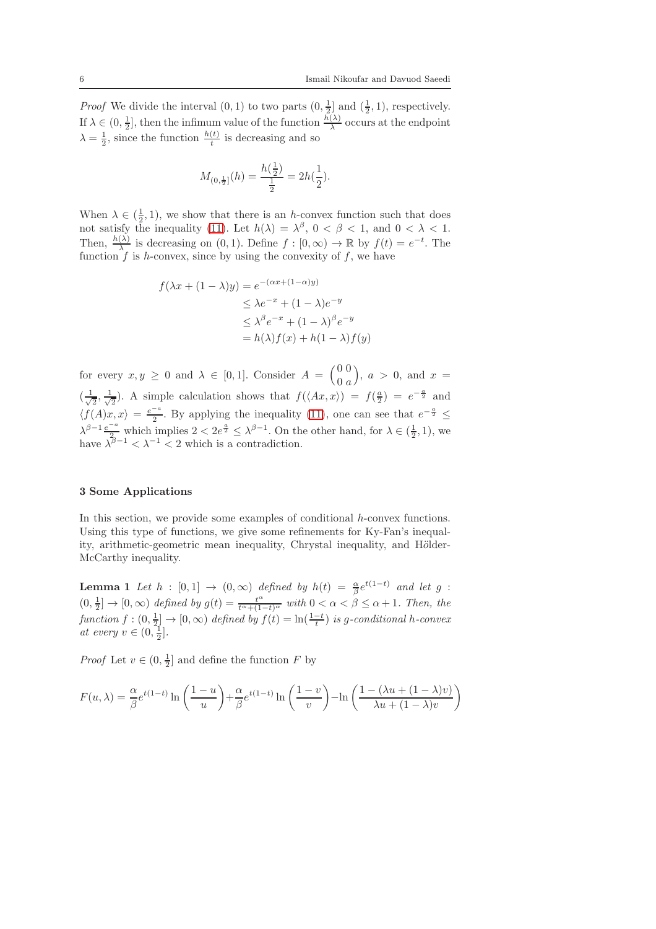*Proof* We divide the interval  $(0, 1)$  to two parts  $(0, \frac{1}{2})$  and  $(\frac{1}{2}, 1)$ , respectively. If  $\lambda \in (0, \frac{1}{2}]$ , then the infimum value of the function  $\frac{h(\lambda)}{\lambda}$  occurs at the endpoint  $\lambda = \frac{1}{2}$ , since the function  $\frac{h(t)}{t}$  is decreasing and so

$$
M_{(0,\frac{1}{2}]}(h) = \frac{h(\frac{1}{2})}{\frac{1}{2}} = 2h(\frac{1}{2}).
$$

When  $\lambda \in (\frac{1}{2}, 1)$ , we show that there is an h-convex function such that does not satisfy the inequality [\(11\)](#page-3-3). Let  $h(\lambda) = \lambda^{\beta}$ ,  $0 < \beta < 1$ , and  $0 < \lambda < 1$ . Then,  $\frac{h(\lambda)}{\lambda}$  is decreasing on  $(0, 1)$ . Define  $f : [0, \infty) \to \mathbb{R}$  by  $f(t) = e^{-t}$ . The function  $f$  is h-convex, since by using the convexity of  $f$ , we have

$$
f(\lambda x + (1 - \lambda)y) = e^{-(\alpha x + (1 - \alpha)y)}
$$
  
\n
$$
\leq \lambda e^{-x} + (1 - \lambda)e^{-y}
$$
  
\n
$$
\leq \lambda^{\beta} e^{-x} + (1 - \lambda)^{\beta} e^{-y}
$$
  
\n
$$
= h(\lambda)f(x) + h(1 - \lambda)f(y)
$$

for every  $x, y \geq 0$  and  $\lambda \in [0, 1]$ . Consider  $A = \begin{pmatrix} 0 & 0 \\ 0 & a \end{pmatrix}$  $0\ a$  $\big), a > 0, \text{ and } x =$  $\left(\frac{1}{\cdot}\right)$  $\frac{1}{2}$ ,  $\frac{1}{\sqrt{2}}$  $\frac{1}{2}$ ). A simple calculation shows that  $f(\langle Ax, x \rangle) = f(\frac{a}{2}) = e^{-\frac{a}{2}}$  and  $\langle f(A)x, x \rangle = \frac{e^{-a}}{2}$  $\frac{-a}{2}$ . By applying the inequality [\(11\)](#page-3-3), one can see that  $e^{-\frac{a}{2}} \leq$  $\lambda^{\beta-1} \frac{e^{-a}}{2}$  which implies  $2 < 2e^{\frac{a}{2}} \leq \lambda^{\beta-1}$ . On the other hand, for  $\lambda \in (\frac{1}{2}, 1)$ , we have  $\lambda^{\overline{\beta}-1} < \lambda^{-1} < 2$  which is a contradiction.

### 3 Some Applications

In this section, we provide some examples of conditional h-convex functions. Using this type of functions, we give some refinements for Ky-Fan's inequality, arithmetic-geometric mean inequality, Chrystal inequality, and Hölder-McCarthy inequality.

<span id="page-5-0"></span>**Lemma 1** Let  $h : [0,1] \rightarrow (0,\infty)$  defined by  $h(t) = \frac{\alpha}{\beta}e^{t(1-t)}$  and let g :  $(0, \frac{1}{2}] \to [0, \infty)$  defined by  $g(t) = \frac{t^{\alpha}}{t^{\alpha} + (1-t)^{\alpha}}$  with  $0 < \alpha < \beta \leq \alpha + 1$ . Then, the function  $f:(0, \frac{1}{2}] \to [0, \infty)$  defined by  $f(t) = \ln(\frac{1-t}{t})$  is g-conditional h-convex at every  $v \in (0, \frac{1}{2}].$ 

*Proof* Let  $v \in (0, \frac{1}{2}]$  and define the function F by

$$
F(u, \lambda) = \frac{\alpha}{\beta} e^{t(1-t)} \ln\left(\frac{1-u}{u}\right) + \frac{\alpha}{\beta} e^{t(1-t)} \ln\left(\frac{1-v}{v}\right) - \ln\left(\frac{1-(\lambda u + (1-\lambda)v)}{\lambda u + (1-\lambda)v}\right)
$$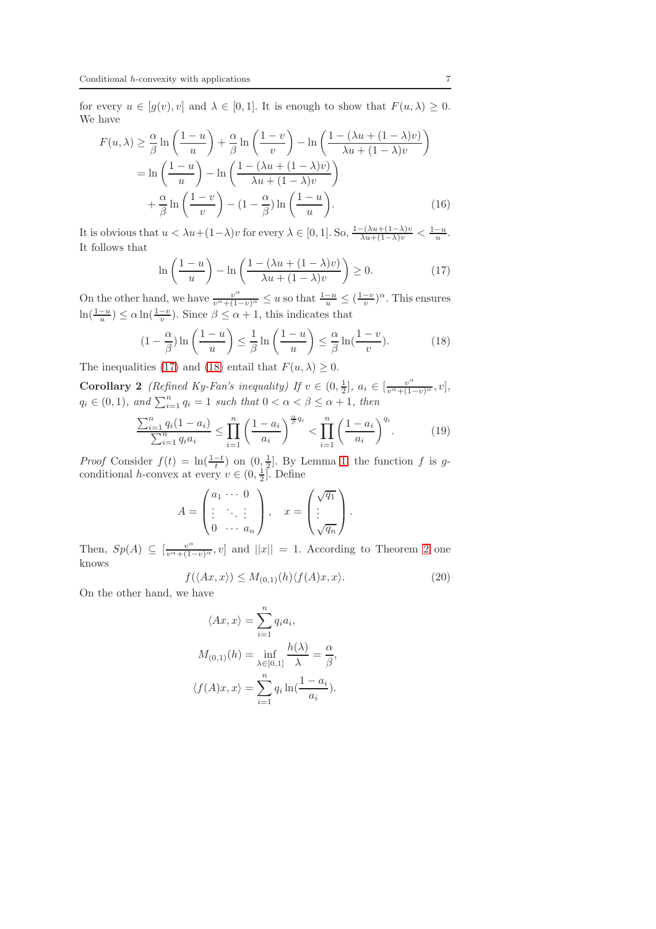for every  $u \in [g(v), v]$  and  $\lambda \in [0, 1]$ . It is enough to show that  $F(u, \lambda) \geq 0$ . We have

$$
F(u,\lambda) \ge \frac{\alpha}{\beta} \ln\left(\frac{1-u}{u}\right) + \frac{\alpha}{\beta} \ln\left(\frac{1-v}{v}\right) - \ln\left(\frac{1-(\lambda u + (1-\lambda)v)}{\lambda u + (1-\lambda)v}\right)
$$

$$
= \ln\left(\frac{1-u}{u}\right) - \ln\left(\frac{1-(\lambda u + (1-\lambda)v)}{\lambda u + (1-\lambda)v}\right)
$$

$$
+ \frac{\alpha}{\beta} \ln\left(\frac{1-v}{v}\right) - (1-\frac{\alpha}{\beta}) \ln\left(\frac{1-u}{u}\right).
$$
(16)

It is obvious that  $u < \lambda u + (1-\lambda)v$  for every  $\lambda \in [0,1]$ . So,  $\frac{1-(\lambda u + (1-\lambda)v)}{\lambda u + (1-\lambda)v} < \frac{1-u}{u}$ . It follows that

<span id="page-6-0"></span>
$$
\ln\left(\frac{1-u}{u}\right) - \ln\left(\frac{1-(\lambda u + (1-\lambda)v)}{\lambda u + (1-\lambda)v}\right) \ge 0.
$$
 (17)

On the other hand, we have  $\frac{v^{\alpha}}{v^{\alpha}+(1-v)^{\alpha}} \leq u$  so that  $\frac{1-u}{u} \leq (\frac{1-v}{v})^{\alpha}$ . This ensures  $\ln(\frac{1-u}{u}) \le \alpha \ln(\frac{1-v}{v})$ . Since  $\beta \le \alpha + 1$ , this indicates that

<span id="page-6-1"></span>
$$
(1 - \frac{\alpha}{\beta}) \ln \left( \frac{1 - u}{u} \right) \le \frac{1}{\beta} \ln \left( \frac{1 - u}{u} \right) \le \frac{\alpha}{\beta} \ln \left( \frac{1 - v}{v} \right).
$$
 (18)

<span id="page-6-4"></span>The inequalities [\(17\)](#page-6-0) and [\(18\)](#page-6-1) entail that  $F(u, \lambda) \geq 0$ .

**Corollary 2** (Refined Ky-Fan's inequality) If  $v \in (0, \frac{1}{2}]$ ,  $a_i \in [\frac{v^{\alpha}}{v^{\alpha} + (1-v)^{\alpha}}, v]$ ,  $q_i \in (0,1)$ , and  $\sum_{i=1}^n q_i = 1$  such that  $0 < \alpha < \beta \leq \alpha + 1$ , then

<span id="page-6-3"></span>
$$
\frac{\sum_{i=1}^{n} q_i (1 - a_i)}{\sum_{i=1}^{n} q_i a_i} \le \prod_{i=1}^{n} \left( \frac{1 - a_i}{a_i} \right)^{\frac{\alpha}{\beta} q_i} < \prod_{i=1}^{n} \left( \frac{1 - a_i}{a_i} \right)^{q_i} . \tag{19}
$$

*Proof* Consider  $f(t) = \ln(\frac{1-t}{t})$  on  $(0, \frac{1}{2}]$ . By Lemma [1,](#page-5-0) the function f is gconditional *h*-convex at every  $v \in (0, \frac{1}{2}]$ . Define

$$
A = \begin{pmatrix} a_1 & \cdots & 0 \\ \vdots & \ddots & \vdots \\ 0 & \cdots & a_n \end{pmatrix}, \quad x = \begin{pmatrix} \sqrt{q_1} \\ \vdots \\ \sqrt{q_n} \end{pmatrix}.
$$

Then,  $Sp(A) \subseteq \left[\frac{v^{\alpha}}{v^{\alpha}+(1-v)^{\alpha}}, v\right]$  and  $||x|| = 1$ . According to Theorem [2](#page-2-3) one knows

<span id="page-6-2"></span>
$$
f(\langle Ax, x \rangle) \le M_{(0,1)}(h) \langle f(A)x, x \rangle.
$$
 (20)

On the other hand, we have

$$
\langle Ax, x \rangle = \sum_{i=1}^{n} q_i a_i,
$$
  

$$
M_{(0,1)}(h) = \inf_{\lambda \in [0,1]} \frac{h(\lambda)}{\lambda} = \frac{\alpha}{\beta},
$$
  

$$
\langle f(A)x, x \rangle = \sum_{i=1}^{n} q_i \ln(\frac{1 - a_i}{a_i}).
$$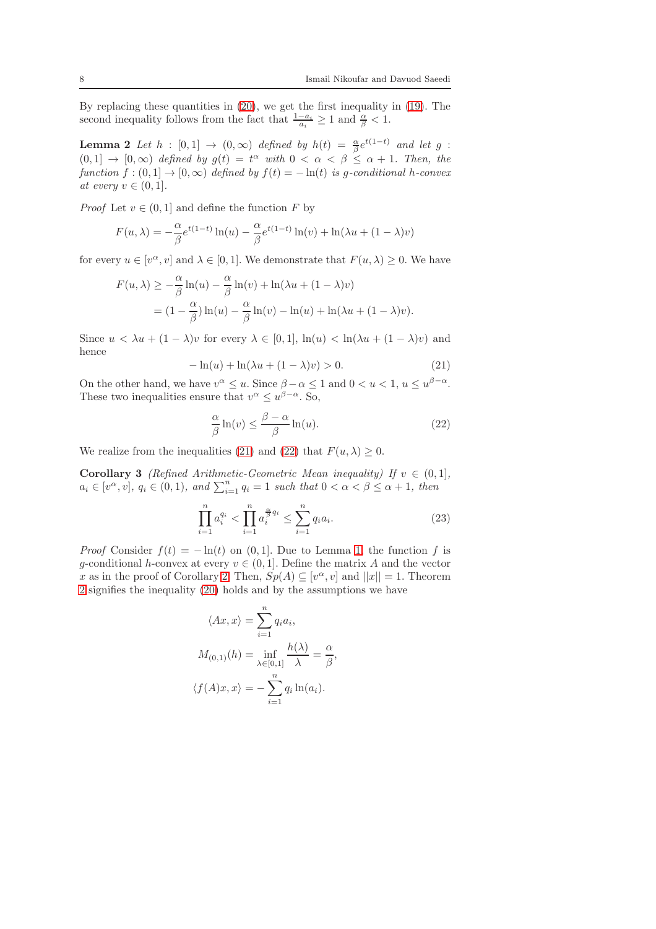By replacing these quantities in [\(20\)](#page-6-2), we get the first inequality in [\(19\)](#page-6-3). The second inequality follows from the fact that  $\frac{1-a_i}{a_i} \geq 1$  and  $\frac{\alpha}{\beta} < 1$ .

**Lemma 2** Let  $h : [0,1] \rightarrow (0,\infty)$  defined by  $h(t) = \frac{\alpha}{\beta}e^{t(1-t)}$  and let g :  $(0,1] \rightarrow [0,\infty)$  defined by  $g(t) = t^{\alpha}$  with  $0 < \alpha < \beta \leq \alpha + 1$ . Then, the function  $f:(0,1] \to [0,\infty)$  defined by  $f(t) = -\ln(t)$  is g-conditional h-convex at every  $v \in (0, 1]$ .

*Proof* Let  $v \in (0, 1]$  and define the function F by

$$
F(u, \lambda) = -\frac{\alpha}{\beta} e^{t(1-t)} \ln(u) - \frac{\alpha}{\beta} e^{t(1-t)} \ln(v) + \ln(\lambda u + (1 - \lambda)v)
$$

for every  $u \in [v^{\alpha}, v]$  and  $\lambda \in [0, 1]$ . We demonstrate that  $F(u, \lambda) \geq 0$ . We have

$$
F(u, \lambda) \ge -\frac{\alpha}{\beta} \ln(u) - \frac{\alpha}{\beta} \ln(v) + \ln(\lambda u + (1 - \lambda)v)
$$
  
=  $(1 - \frac{\alpha}{\beta}) \ln(u) - \frac{\alpha}{\beta} \ln(v) - \ln(u) + \ln(\lambda u + (1 - \lambda)v).$ 

Since  $u < \lambda u + (1 - \lambda)v$  for every  $\lambda \in [0, 1]$ ,  $\ln(u) < \ln(\lambda u + (1 - \lambda)v)$  and hence

<span id="page-7-0"></span>
$$
-\ln(u) + \ln(\lambda u + (1 - \lambda)v) > 0. \tag{21}
$$

On the other hand, we have  $v^{\alpha} \leq u$ . Since  $\beta - \alpha \leq 1$  and  $0 < u < 1$ ,  $u \leq u^{\beta - \alpha}$ . These two inequalities ensure that  $v^{\alpha} \leq u^{\beta-\alpha}$ . So,

<span id="page-7-1"></span>
$$
\frac{\alpha}{\beta} \ln(v) \le \frac{\beta - \alpha}{\beta} \ln(u). \tag{22}
$$

We realize from the inequalities [\(21\)](#page-7-0) and [\(22\)](#page-7-1) that  $F(u, \lambda) \geq 0$ .

**Corollary 3** (Refined Arithmetic-Geometric Mean inequality) If  $v \in (0,1]$ ,  $a_i \in [v^\alpha, v], \ q_i \in (0, 1), \ and \ \sum_{i=1}^n q_i = 1 \ such \ that \ 0 < \alpha < \beta \leq \alpha + 1, \ then$ 

<span id="page-7-2"></span>
$$
\prod_{i=1}^{n} a_i^{q_i} < \prod_{i=1}^{n} a_i^{\frac{\alpha}{\beta} q_i} \le \sum_{i=1}^{n} q_i a_i. \tag{23}
$$

*Proof* Consider  $f(t) = -\ln(t)$  on (0,1). Due to Lemma [1,](#page-5-0) the function f is g-conditional h-convex at every  $v \in (0, 1]$ . Define the matrix A and the vector x as in the proof of Corollary [2.](#page-6-4) Then,  $Sp(A) \subseteq [v^\alpha, v]$  and  $||x|| = 1$ . Theorem [2](#page-2-3) signifies the inequality [\(20\)](#page-6-2) holds and by the assumptions we have

$$
\langle Ax, x \rangle = \sum_{i=1}^{n} q_i a_i,
$$
  

$$
M_{(0,1)}(h) = \inf_{\lambda \in [0,1]} \frac{h(\lambda)}{\lambda} = \frac{\alpha}{\beta},
$$
  

$$
\langle f(A)x, x \rangle = -\sum_{i=1}^{n} q_i \ln(a_i).
$$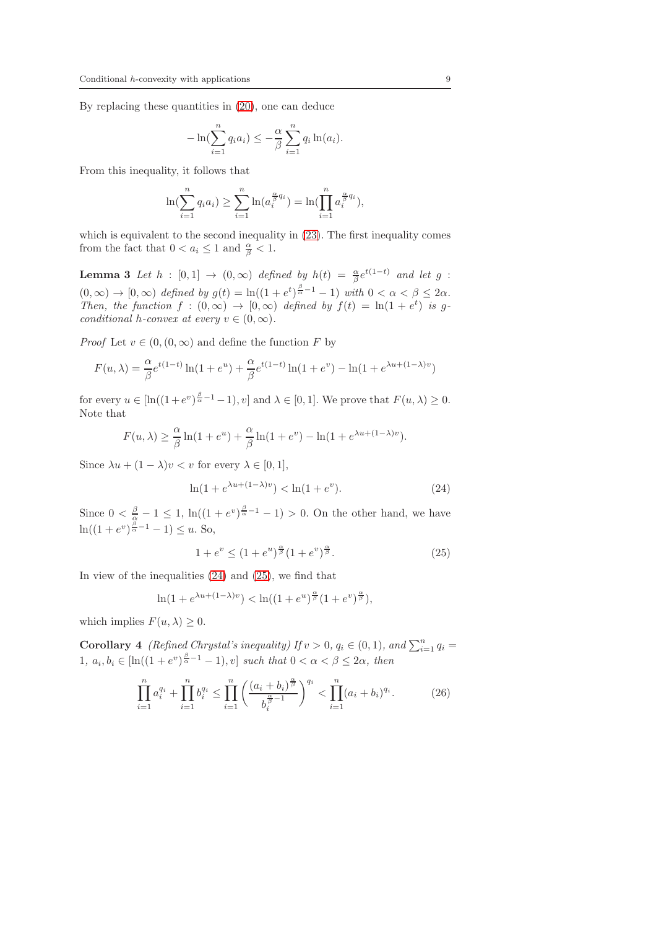By replacing these quantities in [\(20\)](#page-6-2), one can deduce

$$
-\ln\left(\sum_{i=1}^n q_i a_i\right) \leq -\frac{\alpha}{\beta} \sum_{i=1}^n q_i \ln(a_i).
$$

From this inequality, it follows that

$$
\ln(\sum_{i=1}^{n} q_i a_i) \ge \sum_{i=1}^{n} \ln(a_i^{\frac{\alpha}{\beta} q_i}) = \ln(\prod_{i=1}^{n} a_i^{\frac{\alpha}{\beta} q_i}),
$$

which is equivalent to the second inequality in  $(23)$ . The first inequality comes from the fact that  $0 < a_i \leq 1$  and  $\frac{\alpha}{\beta} < 1$ .

<span id="page-8-2"></span>**Lemma 3** Let  $h : [0,1] \rightarrow (0,\infty)$  defined by  $h(t) = \frac{\alpha}{\beta}e^{t(1-t)}$  and let g :  $(0, \infty) \to [0, \infty)$  defined by  $g(t) = \ln((1 + e^t)^{\frac{\beta}{\alpha} - 1} - 1)$  with  $0 < \alpha < \beta \leq 2\alpha$ . Then, the function  $f : (0, \infty) \to [0, \infty)$  defined by  $f(t) = \ln(1 + e^t)$  is gconditional h-convex at every  $v \in (0, \infty)$ .

*Proof* Let  $v \in (0, (0, \infty))$  and define the function F by

$$
F(u, \lambda) = \frac{\alpha}{\beta} e^{t(1-t)} \ln(1 + e^u) + \frac{\alpha}{\beta} e^{t(1-t)} \ln(1 + e^v) - \ln(1 + e^{\lambda u + (1-\lambda)v})
$$

for every  $u \in [\ln((1+e^v)^{\frac{\beta}{\alpha}-1}-1), v]$  and  $\lambda \in [0,1]$ . We prove that  $F(u, \lambda) \ge 0$ . Note that

$$
F(u, \lambda) \ge \frac{\alpha}{\beta} \ln(1 + e^u) + \frac{\alpha}{\beta} \ln(1 + e^v) - \ln(1 + e^{\lambda u + (1 - \lambda)v}).
$$

Since  $\lambda u + (1 - \lambda)v < v$  for every  $\lambda \in [0, 1],$ 

<span id="page-8-0"></span>
$$
\ln(1 + e^{\lambda u + (1 - \lambda)v}) < \ln(1 + e^v). \tag{24}
$$

Since  $0 < \frac{\beta}{\alpha} - 1 \leq 1$ ,  $\ln((1 + e^{\nu})^{\frac{\beta}{\alpha} - 1} - 1) > 0$ . On the other hand, we have  $\ln((1 + e^v)^{\frac{\beta}{\alpha} - 1} - 1) \le u$ . So,

<span id="page-8-1"></span>
$$
1 + e^v \le (1 + e^u)^{\frac{\alpha}{\beta}} (1 + e^v)^{\frac{\alpha}{\beta}}.
$$
 (25)

In view of the inequalities [\(24\)](#page-8-0) and [\(25\)](#page-8-1), we find that

$$
\ln(1+e^{\lambda u+(1-\lambda)v})<\ln((1+e^u)^{\frac{\alpha}{\beta}}(1+e^v)^{\frac{\alpha}{\beta}}),
$$

which implies  $F(u, \lambda) \geq 0$ .

**Corollary 4** (Refined Chrystal's inequality) If  $v > 0$ ,  $q_i \in (0, 1)$ , and  $\sum_{i=1}^{n} q_i =$ 1,  $a_i, b_i \in [\ln((1+e^v)^{\frac{\beta}{\alpha}-1}-1), v]$  such that  $0 < \alpha < \beta \leq 2\alpha$ , then

<span id="page-8-3"></span>
$$
\prod_{i=1}^{n} a_i^{q_i} + \prod_{i=1}^{n} b_i^{q_i} \le \prod_{i=1}^{n} \left( \frac{(a_i + b_i)^{\frac{\alpha}{\beta}}}{b_i^{\frac{\alpha}{\beta} - 1}} \right)^{q_i} < \prod_{i=1}^{n} (a_i + b_i)^{q_i}.\tag{26}
$$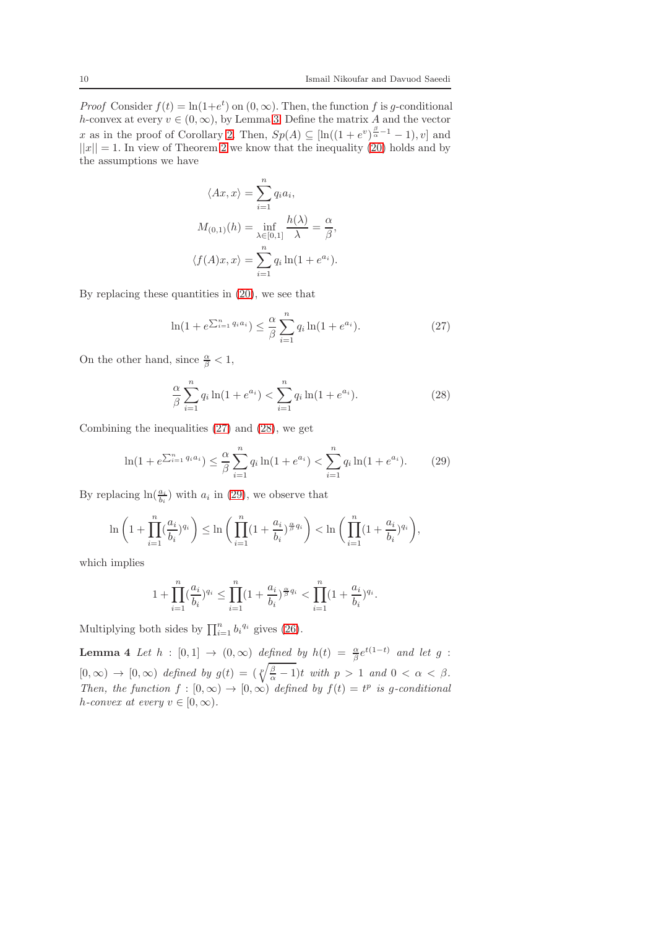*Proof* Consider  $f(t) = \ln(1+e^t)$  on  $(0, \infty)$ . Then, the function f is g-conditional h-convex at every  $v \in (0, \infty)$ , by Lemma [3.](#page-8-2) Define the matrix A and the vector x as in the proof of Corollary [2.](#page-6-4) Then,  $Sp(A) \subseteq [\ln((1+e^v)^{\frac{\beta}{\alpha}-1}-1), v]$  and  $||x|| = 1$ . In view of Theorem [2](#page-2-3) we know that the inequality [\(20\)](#page-6-2) holds and by the assumptions we have

$$
\langle Ax, x \rangle = \sum_{i=1}^{n} q_i a_i,
$$
  
\n
$$
M_{(0,1)}(h) = \inf_{\lambda \in [0,1]} \frac{h(\lambda)}{\lambda} = \frac{\alpha}{\beta},
$$
  
\n
$$
\langle f(A)x, x \rangle = \sum_{i=1}^{n} q_i \ln(1 + e^{a_i}).
$$

By replacing these quantities in [\(20\)](#page-6-2), we see that

<span id="page-9-0"></span>
$$
\ln(1 + e^{\sum_{i=1}^{n} q_i a_i}) \le \frac{\alpha}{\beta} \sum_{i=1}^{n} q_i \ln(1 + e^{a_i}).
$$
 (27)

On the other hand, since  $\frac{\alpha}{\beta} < 1$ ,

<span id="page-9-1"></span>
$$
\frac{\alpha}{\beta} \sum_{i=1}^{n} q_i \ln(1 + e^{a_i}) < \sum_{i=1}^{n} q_i \ln(1 + e^{a_i}).\tag{28}
$$

Combining the inequalities [\(27\)](#page-9-0) and [\(28\)](#page-9-1), we get

<span id="page-9-2"></span>
$$
\ln(1 + e^{\sum_{i=1}^{n} q_i a_i}) \le \frac{\alpha}{\beta} \sum_{i=1}^{n} q_i \ln(1 + e^{a_i}) < \sum_{i=1}^{n} q_i \ln(1 + e^{a_i}).\tag{29}
$$

By replacing  $\ln(\frac{a_i}{b_i})$  with  $a_i$  in [\(29\)](#page-9-2), we observe that

$$
\ln\left(1+\prod_{i=1}^n(\frac{a_i}{b_i})^{q_i}\right)\leq \ln\bigg(\prod_{i=1}^n(1+\frac{a_i}{b_i})^{\frac{\alpha}{\beta}q_i}\bigg) < \ln\bigg(\prod_{i=1}^n(1+\frac{a_i}{b_i})^{q_i}\bigg),
$$

which implies

$$
1 + \prod_{i=1}^{n} \left(\frac{a_i}{b_i}\right)^{q_i} \le \prod_{i=1}^{n} \left(1 + \frac{a_i}{b_i}\right)^{\frac{\alpha}{\beta} q_i} < \prod_{i=1}^{n} \left(1 + \frac{a_i}{b_i}\right)^{q_i}.
$$

Multiplying both sides by  $\prod_{i=1}^{n} b_i^{q_i}$  gives [\(26\)](#page-8-3).

<span id="page-9-3"></span>**Lemma 4** Let  $h : [0,1] \rightarrow (0,\infty)$  defined by  $h(t) = \frac{\alpha}{\beta}e^{t(1-t)}$  and let g :  $[0, \infty) \rightarrow [0, \infty)$  defined by  $g(t) = (\sqrt[p]{\frac{\beta}{\alpha} - 1})t$  with  $p > 1$  and  $0 < \alpha < \beta$ . Then, the function  $f : [0, \infty) \to [0, \infty)$  defined by  $f(t) = t^p$  is g-conditional h-convex at every  $v \in [0, \infty)$ .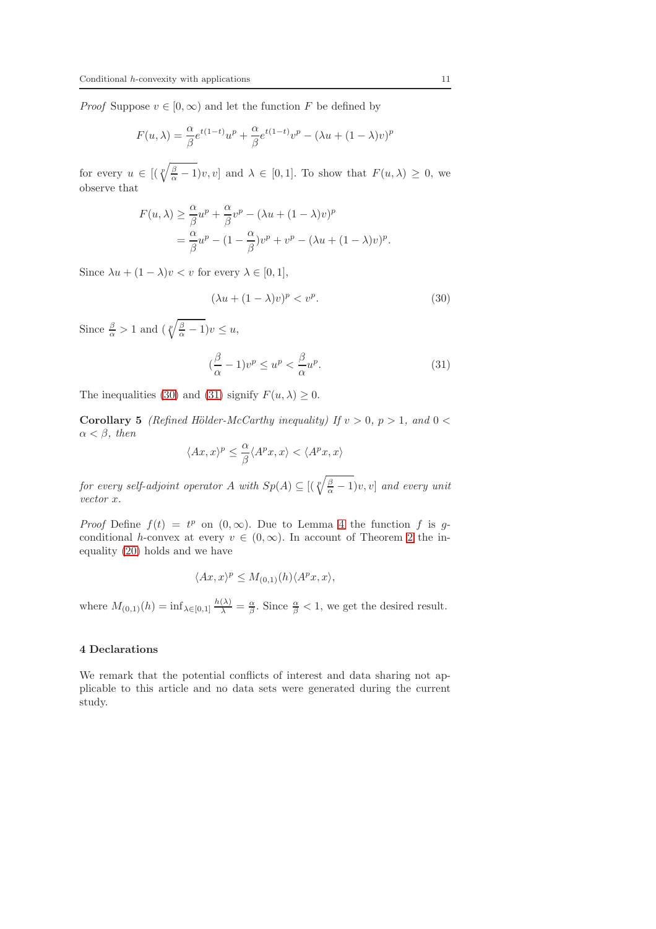*Proof* Suppose  $v \in [0, \infty)$  and let the function F be defined by

$$
F(u, \lambda) = \frac{\alpha}{\beta} e^{t(1-t)} u^p + \frac{\alpha}{\beta} e^{t(1-t)} v^p - (\lambda u + (1 - \lambda)v)^p
$$

for every  $u \in [(\sqrt[p]{\frac{\beta}{\alpha}-1})v, v]$  and  $\lambda \in [0,1]$ . To show that  $F(u, \lambda) \geq 0$ , we observe that

$$
F(u, \lambda) \ge \frac{\alpha}{\beta} u^p + \frac{\alpha}{\beta} v^p - (\lambda u + (1 - \lambda)v)^p
$$
  
= 
$$
\frac{\alpha}{\beta} u^p - (1 - \frac{\alpha}{\beta})v^p + v^p - (\lambda u + (1 - \lambda)v)^p.
$$

Since  $\lambda u + (1 - \lambda)v < v$  for every  $\lambda \in [0, 1],$ 

<span id="page-10-0"></span>
$$
(\lambda u + (1 - \lambda)v)^p < v^p. \tag{30}
$$

Since  $\frac{\beta}{\alpha} > 1$  and  $\left(\sqrt[p]{\frac{\beta}{\alpha} - 1}\right)v \leq u$ ,

<span id="page-10-1"></span>
$$
\left(\frac{\beta}{\alpha} - 1\right)v^p \le u^p < \frac{\beta}{\alpha}u^p. \tag{31}
$$

The inequalities [\(30\)](#page-10-0) and [\(31\)](#page-10-1) signify  $F(u, \lambda) > 0$ .

Corollary 5 (Refined Hölder-McCarthy inequality) If  $v > 0$ ,  $p > 1$ , and  $0 <$  $\alpha < \beta$ , then

$$
\langle Ax,x\rangle^p\leq \frac{\alpha}{\beta}\langle A^px,x\rangle<\langle A^px,x\rangle
$$

for every self-adjoint operator A with  $Sp(A) \subseteq [(\sqrt[p]{\frac{\beta}{\alpha}-1})v, v]$  and every unit vector x.

*Proof* Define  $f(t) = t^p$  on  $(0, \infty)$ . Due to Lemma [4](#page-9-3) the function f is gconditional h-convex at every  $v \in (0,\infty)$ . In account of Theorem [2](#page-2-3) the inequality [\(20\)](#page-6-2) holds and we have

$$
\langle Ax, x \rangle^p \le M_{(0,1)}(h) \langle A^p x, x \rangle,
$$

where  $M_{(0,1)}(h) = \inf_{\lambda \in [0,1]} \frac{h(\lambda)}{\lambda} = \frac{\alpha}{\beta}$ . Since  $\frac{\alpha}{\beta} < 1$ , we get the desired result.

## 4 Declarations

We remark that the potential conflicts of interest and data sharing not applicable to this article and no data sets were generated during the current study.